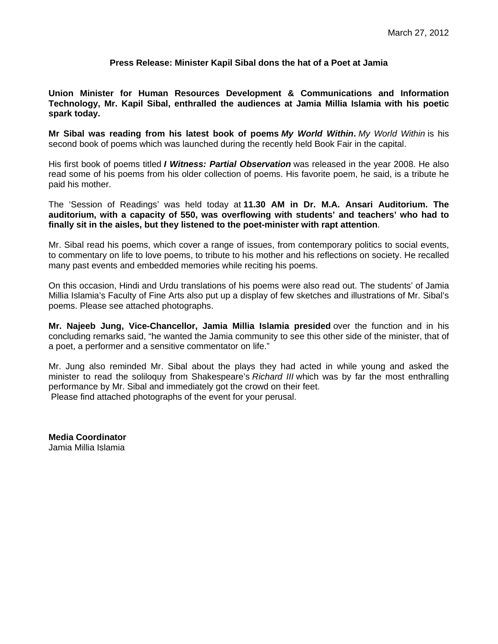## **Press Release: Minister Kapil Sibal dons the hat of a Poet at Jamia**

**Union Minister for Human Resources Development & Communications and Information Technology, Mr. Kapil Sibal, enthralled the audiences at Jamia Millia Islamia with his poetic spark today.**

**Mr Sibal was reading from his latest book of poems** *My World Within***.** *My World Within* is his second book of poems which was launched during the recently held Book Fair in the capital.

His first book of poems titled *I Witness: Partial Observation* was released in the year 2008. He also read some of his poems from his older collection of poems. His favorite poem, he said, is a tribute he paid his mother.

The 'Session of Readings' was held today at **11.30 AM in Dr. M.A. Ansari Auditorium. The auditorium, with a capacity of 550, was overflowing with students' and teachers' who had to finally sit in the aisles, but they listened to the poet-minister with rapt attention**.

Mr. Sibal read his poems, which cover a range of issues, from contemporary politics to social events, to commentary on life to love poems, to tribute to his mother and his reflections on society. He recalled many past events and embedded memories while reciting his poems.

On this occasion, Hindi and Urdu translations of his poems were also read out. The students' of Jamia Millia Islamia's Faculty of Fine Arts also put up a display of few sketches and illustrations of Mr. Sibal's poems. Please see attached photographs.

**Mr. Najeeb Jung, Vice-Chancellor, Jamia Millia Islamia presided** over the function and in his concluding remarks said, "he wanted the Jamia community to see this other side of the minister, that of a poet, a performer and a sensitive commentator on life."

Mr. Jung also reminded Mr. Sibal about the plays they had acted in while young and asked the minister to read the soliloquy from Shakespeare's *Richard III* which was by far the most enthralling performance by Mr. Sibal and immediately got the crowd on their feet. Please find attached photographs of the event for your perusal.

**Media Coordinator** Jamia Millia Islamia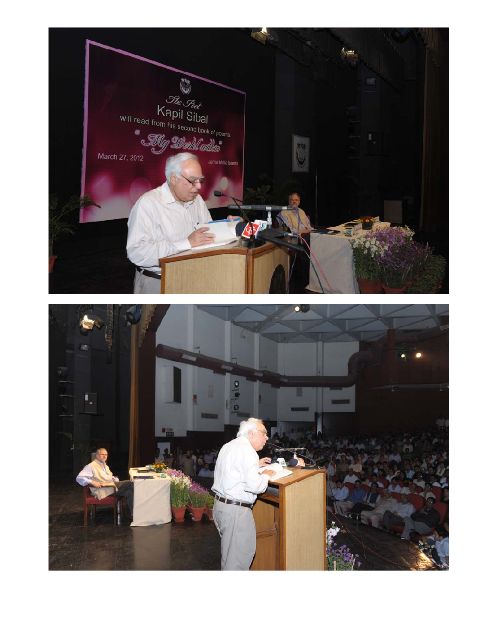